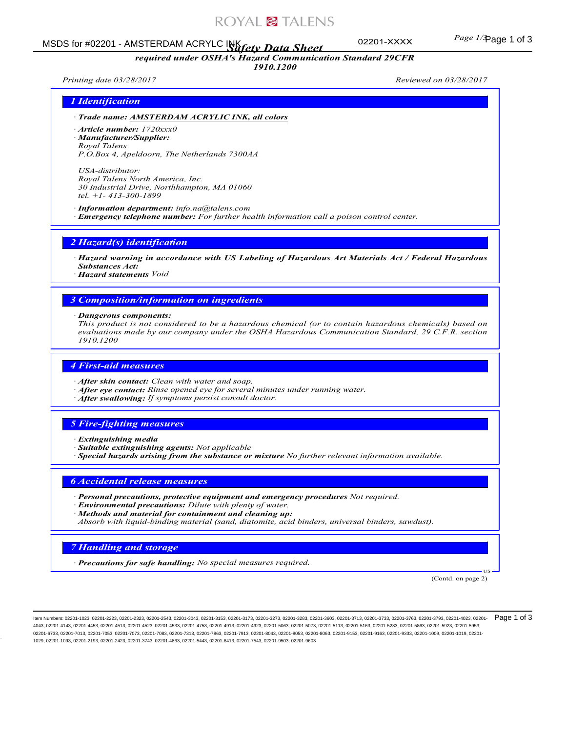# ROYAL<sup>2</sup> TALENS

*required under OSHA's Hazard Communication Standard 29CFR 1910.1200*

# Page 1 of 3 MSDS for #02201 - AMSTERDAM ACRYLC INK *Safety Data Sheet*

02201-XXXX

*Printing date 03/28/2017 Reviewed on 03/28/2017*

### *1 Identification*

- *· Trade name: AMSTERDAM ACRYLIC INK, all colors*
- *· Article number: 1720xxx0 · Manufacturer/Supplier: Royal Talens P.O.Box 4, Apeldoorn, The Netherlands 7300AA*

*USA-distributor: Royal Talens North America, Inc. 30 Industrial Drive, Northhampton, MA 01060 tel. +1- 413-300-1899*

### *· Information department: info.na@talens.com*

*· Emergency telephone number: For further health information call a poison control center.*

### *2 Hazard(s) identification*

*· Hazard warning in accordance with US Labeling of Hazardous Art Materials Act / Federal Hazardous Substances Act:*

*· Hazard statements Void*

### *3 Composition/information on ingredients*

*· Dangerous components:*

*This product is not considered to be a hazardous chemical (or to contain hazardous chemicals) based on evaluations made by our company under the OSHA Hazardous Communication Standard, 29 C.F.R. section 1910.1200*

# *4 First-aid measures*

- *· After skin contact: Clean with water and soap.*
- *· After eye contact: Rinse opened eye for several minutes under running water.*
- *· After swallowing: If symptoms persist consult doctor.*

### *5 Fire-fighting measures*

- *· Extinguishing media*
- *· Suitable extinguishing agents: Not applicable*
- *· Special hazards arising from the substance or mixture No further relevant information available.*

#### *6 Accidental release measures*

- *· Personal precautions, protective equipment and emergency procedures Not required.*
- *· Environmental precautions: Dilute with plenty of water.*
- *· Methods and material for containment and cleaning up:*
- *Absorb with liquid-binding material (sand, diatomite, acid binders, universal binders, sawdust).*

### *7 Handling and storage*

*· Precautions for safe handling: No special measures required.*

(Contd. on page 2)

US

ltem Numbers: 02201-1023, 02201-2223, 02201-2323, 02201-2543, 02201-3163, 02201-3153, 02201-373, 02201-3283, 02201-3803, 02201-3713, 02201-3733, 02201-3783, 02201-3793, 02201-3793, 02201-4023, 02201-  $\mathsf{Page}\ 1$  of  $3$ 4043, 02201-4143, 02201-4453, 02201-4513, 02201-4523, 02201-4533, 02201-4513, 02201-4913, 02201-5063, 02201-5073, 02201-5113, 02201-5163, 02201-5163, 02201-5283, 02201-5863, 02201-5893, 02201-588, 02201-5883, 02201-5853, 02 02201-6733, 02201-7013, 02201-7053, 02201-7073, 02201-7083, 02201-7313, 02201-7963, 02201-8043, 02201-8053, 02201-8063, 02201-9153, 02201-9163, 02201-9333, 02201-1009, 02201-019, 02201-9153, 02201-9163, 02201-9163, 02201-91 1029, 02201-1093, 02201-2193, 02201-2423, 02201-3743, 02201-4863, 02201-5443, 02201-6413, 02201-7543, 02201-9503, 02201-9603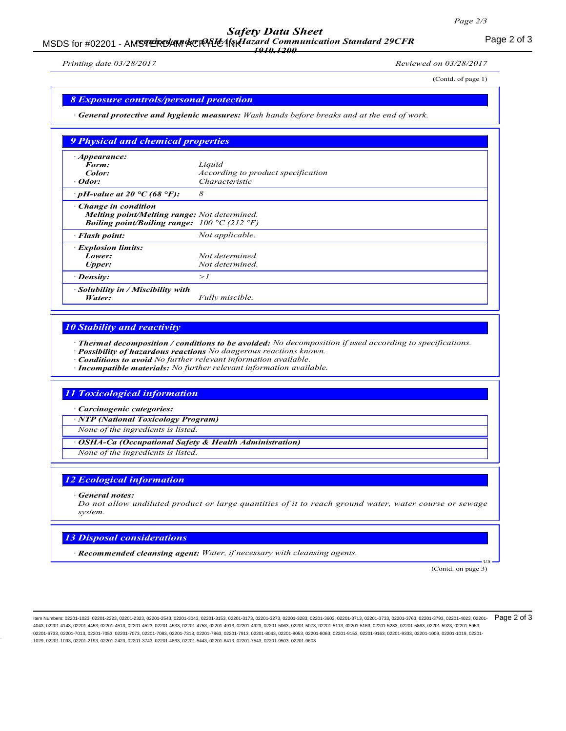# *Safety Data Sheet*

### MSDS for #02201 - AM**STERDAM ACRALCAN Hazard Communication Standard 29CFR**<br>MSDS for #02201 - AMSTERDAM ACRALCAN Hazard Communication Standard 29CFR *1910.1200*

*Printing date 03/28/2017 Reviewed on 03/28/2017*

(Contd. of page 1)

### *8 Exposure controls/personal protection*

*· General protective and hygienic measures: Wash hands before breaks and at the end of work.*

| 9 Physical and chemical properties                                                                                                                           |                                    |  |
|--------------------------------------------------------------------------------------------------------------------------------------------------------------|------------------------------------|--|
| $\cdot$ Appearance:                                                                                                                                          |                                    |  |
| Form:                                                                                                                                                        | Liquid                             |  |
| Color:                                                                                                                                                       | According to product specification |  |
| · Odor:                                                                                                                                                      | Characteristic                     |  |
| $\cdot$ pH-value at 20 °C (68 °F):                                                                                                                           | 8                                  |  |
| $\cdot$ Change in condition<br><b>Melting point/Melting range:</b> Not determined.<br><i>Boiling point/Boiling range:</i> $100 \degree C$ (212 $\degree F$ ) |                                    |  |
| · Flash point:                                                                                                                                               | Not applicable.                    |  |
| <b>Explosion limits:</b>                                                                                                                                     |                                    |  |
| Lower:                                                                                                                                                       | Not determined.                    |  |
| <b>Upper:</b>                                                                                                                                                | Not determined.                    |  |
| · Density:                                                                                                                                                   | >1                                 |  |
| $\cdot$ Solubility in / Miscibility with<br>Water:                                                                                                           | Fully miscible.                    |  |

# *10 Stability and reactivity*

*· Thermal decomposition / conditions to be avoided: No decomposition if used according to specifications.*

- *· Possibility of hazardous reactions No dangerous reactions known.*
- *· Conditions to avoid No further relevant information available.*
- *· Incompatible materials: No further relevant information available.*

### *11 Toxicological information*

*· Carcinogenic categories:*

*· NTP (National Toxicology Program)*

*None of the ingredients is listed.*

*· OSHA-Ca (Occupational Safety & Health Administration)*

*None of the ingredients is listed.*

### *12 Ecological information*

*· General notes:*

*Do not allow undiluted product or large quantities of it to reach ground water, water course or sewage system.*

#### *13 Disposal considerations*

*· Recommended cleansing agent: Water, if necessary with cleansing agents.*

(Contd. on page 3)

US

ltem Numbers: 02201-1023, 02201-2223, 02201-2323, 02201-2543, 02201-3163, 02201-3153, 02201-373, 02201-3283, 02201-3803, 02201-3713, 02201-3733, 02201-3783, 02201-3793, 02201-3793, 02201-4023, 02201-  $\mathsf{P}\mathsf{age}\ 2$  of  $3$ 4043, 02201-4143, 02201-4453, 02201-4513, 02201-4523, 02201-4533, 02201-4753, 02201-4913, 02201-5063, 02201-5073, 02201-5113, 02201-5163, 02201-5233, 02201-5283, 02201-5863, 02201-5163, 02201-5853, 02201-5883, 02201-5953, 0 02201-6733, 02201-7013, 02201-7053, 02201-7073, 02201-7083, 02201-7313, 02201-7963, 02201-8043, 02201-8063, 02201-8063, 02201-9153, 02201-9163, 02201-9333, 02201-1009, 02201-1019, 02201-9153, 02201-9163, 02201-9163, 02201-9 1029, 02201-1093, 02201-2193, 02201-2423, 02201-3743, 02201-4863, 02201-5443, 02201-6413, 02201-7543, 02201-9503, 02201-9603